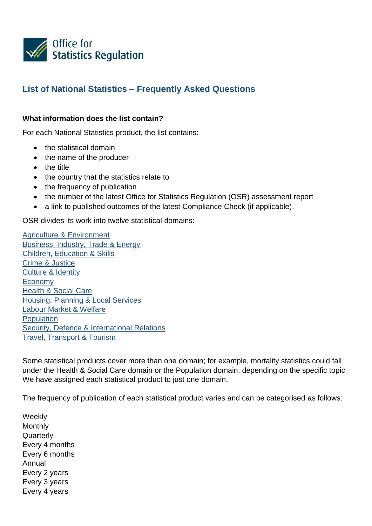

# **List of National Statistics – Frequently Asked Questions**

#### **What information does the list contain?**

For each National Statistics product, the list contains:

- the statistical domain
- the name of the producer
- the title
- the country that the statistics relate to
- the frequency of publication
- the number of the latest Office for Statistics Regulation (OSR) assessment report
- a link to published outcomes of the latest Compliance Check (if applicable).

OSR divides its work into twelve statistical domains:

[Agriculture & Environment](https://www.statisticsauthority.gov.uk/themes/agriculture-environment/) [Business, Industry, Trade & Energy](https://www.statisticsauthority.gov.uk/themes/business-industry-trade-energy/) [Children, Education & Skills](https://www.statisticsauthority.gov.uk/themes/children-education-skills/) [Crime & Justice](https://www.statisticsauthority.gov.uk/themes/crime-justice/) [Culture & Identity](https://www.statisticsauthority.gov.uk/themes/culture-identity/) [Economy](https://www.statisticsauthority.gov.uk/themes/economy/) [Health & Social Care](https://www.statisticsauthority.gov.uk/themes/health-social-care/) [Housing, Planning & Local Services](https://www.statisticsauthority.gov.uk/themes/housing-planning-local-services/) [Labour Market & Welfare](https://www.statisticsauthority.gov.uk/themes/labour-market-welfare/) **[Population](https://www.statisticsauthority.gov.uk/themes/population/)** [Security, Defence & International Relations](https://www.statisticsauthority.gov.uk/themes/security-defence-international-relations/) [Travel, Transport & Tourism](https://www.statisticsauthority.gov.uk/themes/travel-transport-tourism/)

Some statistical products cover more than one domain; for example, mortality statistics could fall under the Health & Social Care domain or the Population domain, depending on the specific topic. We have assigned each statistical product to just one domain.

The frequency of publication of each statistical product varies and can be categorised as follows:

**Weekly** Monthly **Quarterly** Every 4 months Every 6 months Annual Every 2 years Every 3 years Every 4 years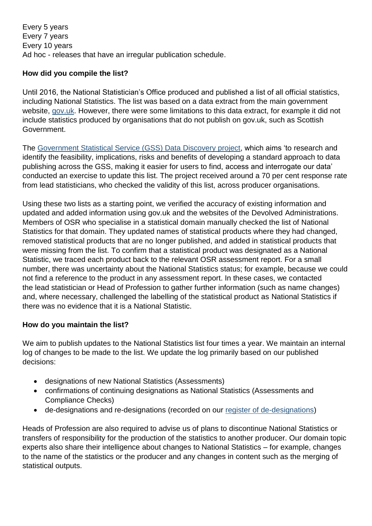Every 5 years Every 7 years Every 10 years Ad hoc - releases that have an irregular publication schedule.

## **How did you compile the list?**

Until 2016, the National Statistician's Office produced and published a list of all official statistics, including National Statistics. The list was based on a data extract from the main government website, [gov.uk.](https://www.gov.uk/) However, there were some limitations to this data extract, for example it did not include statistics produced by organisations that do not publish on gov.uk, such as Scottish Government.

The [Government Statistical Service \(GSS\) Data](https://gss.civilservice.gov.uk/blog/2016/09/dont-know-dont-know-gss-data-discovery/) Discovery project, which aims 'to research and identify the feasibility, implications, risks and benefits of developing a standard approach to data publishing across the GSS, making it easier for users to find, access and interrogate our data' conducted an exercise to update this list. The project received around a 70 per cent response rate from lead statisticians, who checked the validity of this list, across producer organisations.

Using these two lists as a starting point, we verified the accuracy of existing information and updated and added information using gov.uk and the websites of the Devolved Administrations. Members of OSR who specialise in a statistical domain manually checked the list of National Statistics for that domain. They updated names of statistical products where they had changed, removed statistical products that are no longer published, and added in statistical products that were missing from the list. To confirm that a statistical product was designated as a National Statistic, we traced each product back to the relevant OSR assessment report. For a small number, there was uncertainty about the National Statistics status; for example, because we could not find a reference to the product in any assessment report. In these cases, we contacted the lead statistician or Head of Profession to gather further information (such as name changes) and, where necessary, challenged the labelling of the statistical product as National Statistics if there was no evidence that it is a National Statistic.

#### **How do you maintain the list?**

We aim to publish updates to the National Statistics list four times a year. We maintain an internal log of changes to be made to the list. We update the log primarily based on our published decisions:

- designations of new National Statistics (Assessments)
- confirmations of continuing designations as National Statistics (Assessments and Compliance Checks)
- de-designations and re-designations (recorded on our [register of de-designations\)](https://www.statisticsauthority.gov.uk/osr/what-we-do/assessment/register-of-de-designations/)

Heads of Profession are also required to advise us of plans to discontinue National Statistics or transfers of responsibility for the production of the statistics to another producer. Our domain topic experts also share their intelligence about changes to National Statistics – for example, changes to the name of the statistics or the producer and any changes in content such as the merging of statistical outputs.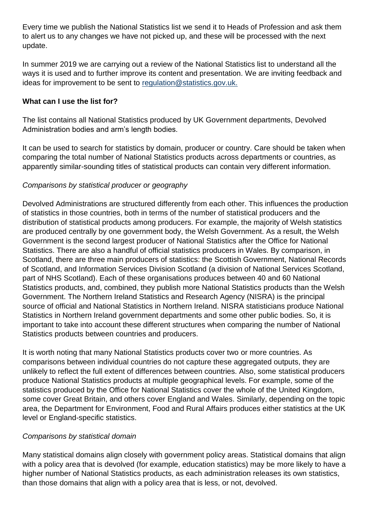Every time we publish the National Statistics list we send it to Heads of Profession and ask them to alert us to any changes we have not picked up, and these will be processed with the next update.

In summer 2019 we are carrying out a review of the National Statistics list to understand all the ways it is used and to further improve its content and presentation. We are inviting feedback and ideas for improvement to be sent to [regulation@statistics.gov.uk.](mailto:regulation@statistics.gov.uk)

## **What can I use the list for?**

The list contains all National Statistics produced by UK Government departments, Devolved Administration bodies and arm's length bodies.

It can be used to search for statistics by domain, producer or country. Care should be taken when comparing the total number of National Statistics products across departments or countries, as apparently similar-sounding titles of statistical products can contain very different information.

## *Comparisons by statistical producer or geography*

Devolved Administrations are structured differently from each other. This influences the production of statistics in those countries, both in terms of the number of statistical producers and the distribution of statistical products among producers. For example, the majority of Welsh statistics are produced centrally by one government body, the Welsh Government. As a result, the Welsh Government is the second largest producer of National Statistics after the Office for National Statistics. There are also a handful of official statistics producers in Wales. By comparison, in Scotland, there are three main producers of statistics: the Scottish Government, National Records of Scotland, and Information Services Division Scotland (a division of National Services Scotland, part of NHS Scotland). Each of these organisations produces between 40 and 60 National Statistics products, and, combined, they publish more National Statistics products than the Welsh Government. The Northern Ireland Statistics and Research Agency (NISRA) is the principal source of official and National Statistics in Northern Ireland. NISRA statisticians produce National Statistics in Northern Ireland government departments and some other public bodies. So, it is important to take into account these different structures when comparing the number of National Statistics products between countries and producers.

It is worth noting that many National Statistics products cover two or more countries. As comparisons between individual countries do not capture these aggregated outputs, they are unlikely to reflect the full extent of differences between countries. Also, some statistical producers produce National Statistics products at multiple geographical levels. For example, some of the statistics produced by the Office for National Statistics cover the whole of the United Kingdom, some cover Great Britain, and others cover England and Wales. Similarly, depending on the topic area, the Department for Environment, Food and Rural Affairs produces either statistics at the UK level or England-specific statistics.

#### *Comparisons by statistical domain*

Many statistical domains align closely with government policy areas. Statistical domains that align with a policy area that is devolved (for example, education statistics) may be more likely to have a higher number of National Statistics products, as each administration releases its own statistics, than those domains that align with a policy area that is less, or not, devolved.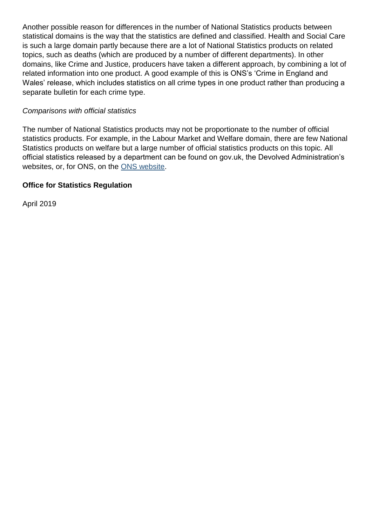Another possible reason for differences in the number of National Statistics products between statistical domains is the way that the statistics are defined and classified. Health and Social Care is such a large domain partly because there are a lot of National Statistics products on related topics, such as deaths (which are produced by a number of different departments). In other domains, like Crime and Justice, producers have taken a different approach, by combining a lot of related information into one product. A good example of this is ONS's 'Crime in England and Wales' release, which includes statistics on all crime types in one product rather than producing a separate bulletin for each crime type.

#### *Comparisons with official statistics*

The number of National Statistics products may not be proportionate to the number of official statistics products. For example, in the Labour Market and Welfare domain, there are few National Statistics products on welfare but a large number of official statistics products on this topic. All official statistics released by a department can be found on gov.uk, the Devolved Administration's websites, or, for ONS, on the [ONS website.](https://www.ons.gov.uk/)

#### **Office for Statistics Regulation**

April 2019